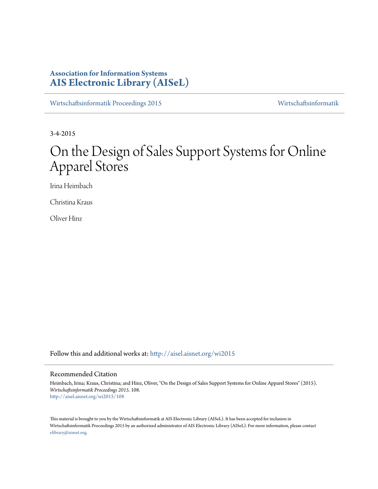# **Association for Information Systems [AIS Electronic Library \(AISeL\)](http://aisel.aisnet.org?utm_source=aisel.aisnet.org%2Fwi2015%2F108&utm_medium=PDF&utm_campaign=PDFCoverPages)**

[Wirtschaftsinformatik Proceedings 2015](http://aisel.aisnet.org/wi2015?utm_source=aisel.aisnet.org%2Fwi2015%2F108&utm_medium=PDF&utm_campaign=PDFCoverPages) [Wirtschaftsinformatik](http://aisel.aisnet.org/wi?utm_source=aisel.aisnet.org%2Fwi2015%2F108&utm_medium=PDF&utm_campaign=PDFCoverPages)

3-4-2015

# On the Design of Sales Support Systems for Online Apparel Stores

Irina Heimbach

Christina Kraus

Oliver Hinz

Follow this and additional works at: [http://aisel.aisnet.org/wi2015](http://aisel.aisnet.org/wi2015?utm_source=aisel.aisnet.org%2Fwi2015%2F108&utm_medium=PDF&utm_campaign=PDFCoverPages)

## Recommended Citation

Heimbach, Irina; Kraus, Christina; and Hinz, Oliver, "On the Design of Sales Support Systems for Online Apparel Stores" (2015). *Wirtschaftsinformatik Proceedings 2015*. 108. [http://aisel.aisnet.org/wi2015/108](http://aisel.aisnet.org/wi2015/108?utm_source=aisel.aisnet.org%2Fwi2015%2F108&utm_medium=PDF&utm_campaign=PDFCoverPages)

This material is brought to you by the Wirtschaftsinformatik at AIS Electronic Library (AISeL). It has been accepted for inclusion in Wirtschaftsinformatik Proceedings 2015 by an authorized administrator of AIS Electronic Library (AISeL). For more information, please contact [elibrary@aisnet.org.](mailto:elibrary@aisnet.org%3E)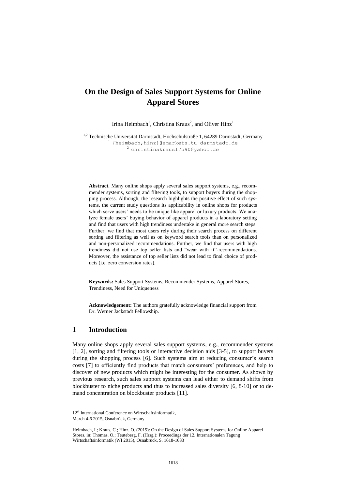# **On the Design of Sales Support Systems for Online Apparel Stores**

Irina Heimbach<sup>1</sup>, Christina Kraus<sup>2</sup>, and Oliver Hinz<sup>1</sup>

<sup>1,2</sup> Technische Universität Darmstadt, Hochschulstraße 1, 64289 Darmstadt, Germany 1 {heimbach,hinz}@emarkets.tu-darmstadt.de <sup>2</sup> christinakraus17590@yahoo.de

**Abstract.** Many online shops apply several sales support systems, e.g., recommender systems, sorting and filtering tools, to support buyers during the shopping process. Although, the research highlights the positive effect of such systems, the current study questions its applicability in online shops for products which serve users' needs to be unique like apparel or luxury products. We analyze female users' buying behavior of apparel products in a laboratory setting and find that users with high trendiness undertake in general more search steps. Further, we find that most users rely during their search process on different sorting and filtering as well as on keyword search tools than on personalized and non-personalized recommendations. Further, we find that users with high trendiness did not use top seller lists and "wear with it"-recommendations. Moreover, the assistance of top seller lists did not lead to final choice of products (i.e. zero conversion rates).

**Keywords:** Sales Support Systems, Recommender Systems, Apparel Stores, Trendiness, Need for Uniqueness

**Acknowledgement:** The authors gratefully acknowledge financial support from Dr. Werner Jackstädt Fellowship.

## **1 Introduction**

Many online shops apply several sales support systems, e.g., recommender systems [1, 2], sorting and filtering tools or interactive decision aids [3-5], to support buyers during the shopping process [6]. Such systems aim at reducing consumer's search costs [7] to efficiently find products that match consumers' preferences, and help to discover of new products which might be interesting for the consumer. As shown by previous research, such sales support systems can lead either to demand shifts from blockbuster to niche products and thus to increased sales diversity [6, 8-10] or to demand concentration on blockbuster products [11].

<sup>12&</sup>lt;sup>th</sup> International Conference on Wirtschaftsinformatik, March 4-6 2015, Osnabrück, Germany

Heimbach, I.; Kraus, C.; Hinz, O. (2015): On the Design of Sales Support Systems for Online Apparel Stores, in: Thomas. O.; Teuteberg, F. (Hrsg.): Proceedings der 12. Internationalen Tagung Wirtschaftsinformatik (WI 2015), Osnabrück, S. 1618-1633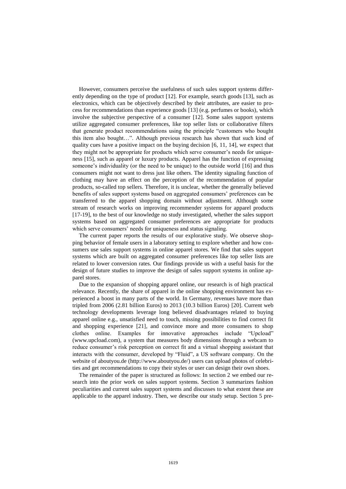However, consumers perceive the usefulness of such sales support systems differently depending on the type of product [12]. For example, search goods [13], such as electronics, which can be objectively described by their attributes, are easier to process for recommendations than experience goods [13] (e.g. perfumes or books), which involve the subjective perspective of a consumer [12]. Some sales support systems utilize aggregated consumer preferences, like top seller lists or collaborative filters that generate product recommendations using the principle "customers who bought this item also bought…". Although previous research has shown that such kind of quality cues have a positive impact on the buying decision  $[6, 11, 14]$ , we expect that they might not be appropriate for products which serve consumer's needs for uniqueness [15], such as apparel or luxury products. Apparel has the function of expressing someone's individuality (or the need to be unique) to the outside world [16] and thus consumers might not want to dress just like others. The identity signaling function of clothing may have an effect on the perception of the recommendation of popular products, so-called top sellers. Therefore, it is unclear, whether the generally believed benefits of sales support systems based on aggregated consumers' preferences can be transferred to the apparel shopping domain without adjustment. Although some stream of research works on improving recommender systems for apparel products [17-19], to the best of our knowledge no study investigated, whether the sales support systems based on aggregated consumer preferences are appropriate for products which serve consumers' needs for uniqueness and status signaling.

The current paper reports the results of our explorative study. We observe shopping behavior of female users in a laboratory setting to explore whether and how consumers use sales support systems in online apparel stores. We find that sales support systems which are built on aggregated consumer preferences like top seller lists are related to lower conversion rates. Our findings provide us with a useful basis for the design of future studies to improve the design of sales support systems in online apparel stores.

Due to the expansion of shopping apparel online, our research is of high practical relevance. Recently, the share of apparel in the online shopping environment has experienced a boost in many parts of the world. In Germany, revenues have more than tripled from 2006 (2.81 billion Euros) to 2013 (10.3 billion Euros) [20]. Current web technology developments leverage long believed disadvantages related to buying apparel online e.g., unsatisfied need to touch, missing possibilities to find correct fit and shopping experience [21], and convince more and more consumers to shop clothes online. Examples for innovative approaches include "Upcload" (www.upcload.com), a system that measures body dimensions through a webcam to reduce consumer's risk perception on correct fit and a virtual shopping assistant that interacts with the consumer, developed by "Fluid", a US software company. On the website of aboutyou.de [\(http://www.aboutyou.de/\)](http://www.aboutyou.de/) users can upload photos of celebrities and get recommendations to copy their styles or user can design their own shoes.

The remainder of the paper is structured as follows: In section 2 we embed our research into the prior work on sales support systems. Section 3 summarizes fashion peculiarities and current sales support systems and discusses to what extent these are applicable to the apparel industry. Then, we describe our study setup. Section 5 pre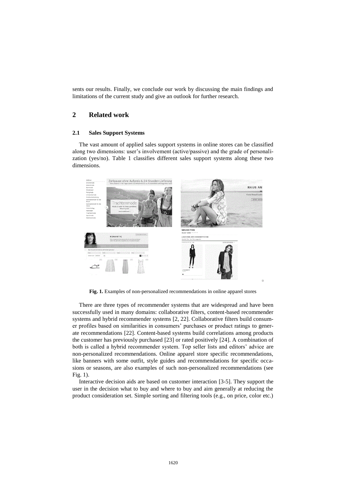sents our results. Finally, we conclude our work by discussing the main findings and limitations of the current study and give an outlook for further research.

# **2 Related work**

#### **2.1 Sales Support Systems**

The vast amount of applied sales support systems in online stores can be classified along two dimensions: user's involvement (active/passive) and the grade of personalization (yes/no). [Table 1](#page-4-0) classifies different sales support systems along these two dimensions.



**Fig. 1.** Examples of non-personalized recommendations in online apparel stores

<span id="page-3-0"></span>There are three types of recommender systems that are widespread and have been successfully used in many domains: collaborative filters, content-based recommender systems and hybrid recommender systems [2, 22]. Collaborative filters build consumer profiles based on similarities in consumers' purchases or product ratings to generate recommendations [22]. Content-based systems build correlations among products the customer has previously purchased [23] or rated positively [24]. A combination of both is called a hybrid recommender system. Top seller lists and editors' advice are non-personalized recommendations. Online apparel store specific recommendations, like banners with some outfit, style guides and recommendations for specific occasions or seasons, are also examples of such non-personalized recommendations (see [Fig. 1\)](#page-3-0).

Interactive decision aids are based on customer interaction [3-5]. They support the user in the decision what to buy and where to buy and aim generally at reducing the product consideration set. Simple sorting and filtering tools (e.g., on price, color etc.)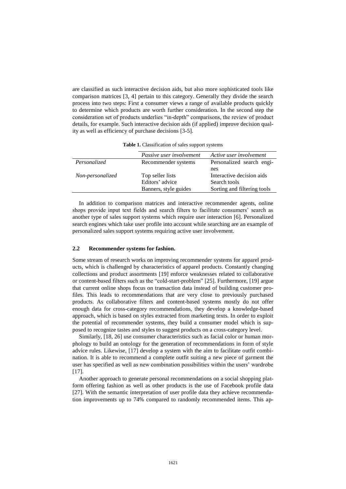are classified as such interactive decision aids, but also more sophisticated tools like comparison matrices [3, 4] pertain to this category. Generally they divide the search process into two steps: First a consumer views a range of available products quickly to determine which products are worth further consideration. In the second step the consideration set of products underlies "in-depth" comparisons, the review of product details, for example. Such interactive decision aids (if applied) improve decision quality as well as efficiency of purchase decisions [3-5].

<span id="page-4-0"></span>

|                  | Passive user involvement | Active user involvement     |
|------------------|--------------------------|-----------------------------|
| Personalized     | Recommender systems      | Personalized search engi-   |
|                  |                          | nes                         |
| Non-personalized | Top seller lists         | Interactive decision aids   |
|                  | Editors' advice          | Search tools                |
|                  | Banners, style guides    | Sorting and filtering tools |

**Table 1.** Classification of sales support systems

In addition to comparison matrices and interactive recommender agents, online shops provide input text fields and search filters to facilitate consumers' search as another type of sales support systems which require user interaction [6]. Personalized search engines which take user profile into account while searching are an example of personalized sales support systems requiring active user involvement.

#### **2.2 Recommender systems for fashion.**

Some stream of research works on improving recommender systems for apparel products, which is challenged by characteristics of apparel products. Constantly changing collections and product assortments [19] enforce weaknesses related to collaborative or content-based filters such as the "cold-start-problem" [25]. Furthermore, [19] argue that current online shops focus on transaction data instead of building customer profiles. This leads to recommendations that are very close to previously purchased products. As collaborative filters and content-based systems mostly do not offer enough data for cross-category recommendations, they develop a knowledge-based approach, which is based on styles extracted from marketing texts. In order to exploit the potential of recommender systems, they build a consumer model which is supposed to recognize tastes and styles to suggest products on a cross-category level.

Similarly, [18, 26] use consumer characteristics such as facial color or human morphology to build an ontology for the generation of recommendations in form of style advice rules. Likewise, [17] develop a system with the aim to facilitate outfit combination. It is able to recommend a complete outfit suiting a new piece of garment the user has specified as well as new combination possibilities within the users' wardrobe  $[17]$ .

Another approach to generate personal recommendations on a social shopping platform offering fashion as well as other products is the use of Facebook profile data [27]. With the semantic interpretation of user profile data they achieve recommendation improvements up to 74% compared to randomly recommended items. This ap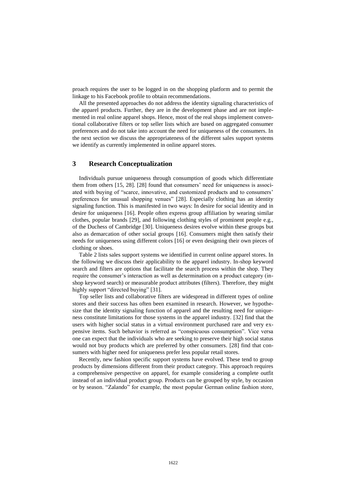proach requires the user to be logged in on the shopping platform and to permit the linkage to his Facebook profile to obtain recommendations.

All the presented approaches do not address the identity signaling characteristics of the apparel products. Further, they are in the development phase and are not implemented in real online apparel shops. Hence, most of the real shops implement conventional collaborative filters or top seller lists which are based on aggregated consumer preferences and do not take into account the need for uniqueness of the consumers. In the next section we discuss the appropriateness of the different sales support systems we identify as currently implemented in online apparel stores.

# **3 Research Conceptualization**

Individuals pursue uniqueness through consumption of goods which differentiate them from others [15, 28]. [28] found that consumers' need for uniqueness is associated with buying of "scarce, innovative, and customized products and to consumers' preferences for unusual shopping venues" [28]. Especially clothing has an identity signaling function. This is manifested in two ways: In desire for social identity and in desire for uniqueness [16]. People often express group affiliation by wearing similar clothes, popular brands [29], and following clothing styles of prominent people e.g., of the Duchess of Cambridge [30]. Uniqueness desires evolve within these groups but also as demarcation of other social groups [16]. Consumers might then satisfy their needs for uniqueness using different colors [16] or even designing their own pieces of clothing or shoes.

[Table 2](#page-6-0) lists sales support systems we identified in current online apparel stores. In the following we discuss their applicability to the apparel industry. In-shop keyword search and filters are options that facilitate the search process within the shop. They require the consumer's interaction as well as determination on a product category (inshop keyword search) or measurable product attributes (filters). Therefore, they might highly support "directed buying" [31].

Top seller lists and collaborative filters are widespread in different types of online stores and their success has often been examined in research. However, we hypothesize that the identity signaling function of apparel and the resulting need for uniqueness constitute limitations for those systems in the apparel industry. [32] find that the users with higher social status in a virtual environment purchased rare and very expensive items. Such behavior is referred as "conspicuous consumption". Vice versa one can expect that the individuals who are seeking to preserve their high social status would not buy products which are preferred by other consumers. [28] find that consumers with higher need for uniqueness prefer less popular retail stores.

Recently, new fashion specific support systems have evolved. These tend to group products by dimensions different from their product category. This approach requires a comprehensive perspective on apparel, for example considering a complete outfit instead of an individual product group. Products can be grouped by style, by occasion or by season. "Zalando" for example, the most popular German online fashion store,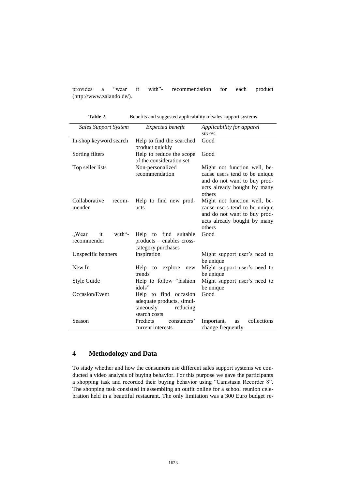provides a "wear it with"- recommendation for each product (http://www.zalando.de/).

<span id="page-6-0"></span>

| <b>Sales Support System</b>       | Expected benefit                                     | Applicability for apparel                                                                                                              |
|-----------------------------------|------------------------------------------------------|----------------------------------------------------------------------------------------------------------------------------------------|
|                                   |                                                      | stores                                                                                                                                 |
| In-shop keyword search            | Help to find the searched<br>product quickly         | Good                                                                                                                                   |
| Sorting filters                   | Help to reduce the scope<br>of the consideration set | Good                                                                                                                                   |
| Top seller lists                  | Non-personalized<br>recommendation                   | Might not function well, be-<br>cause users tend to be unique<br>and do not want to buy prod-<br>ucts already bought by many<br>others |
| Collaborative<br>recom-<br>mender | Help to find new prod-<br>ucts                       | Might not function well, be-<br>cause users tend to be unique<br>and do not want to buy prod-<br>ucts already bought by many<br>others |
| with"-<br>"Wear<br>it             | to find suitable<br>Help                             | Good                                                                                                                                   |
| recommender                       | products – enables cross-                            |                                                                                                                                        |
|                                   | category purchases                                   |                                                                                                                                        |
| Unspecific banners                | Inspiration                                          | Might support user's need to<br>be unique                                                                                              |
| New In                            | Help to explore new                                  | Might support user's need to                                                                                                           |
|                                   | trends                                               | be unique                                                                                                                              |
| Style Guide                       | Help to follow "fashion"<br>idols"                   | Might support user's need to<br>be unique                                                                                              |
| Occasion/Event                    | Help to find occasion                                | Good                                                                                                                                   |
|                                   | adequate products, simul-                            |                                                                                                                                        |
|                                   | taneously<br>reducing                                |                                                                                                                                        |
|                                   | search costs                                         |                                                                                                                                        |
| Season                            | Predicts<br>consumers'                               | collections<br>Important,<br>as                                                                                                        |
|                                   | current interests                                    | change frequently                                                                                                                      |

Table 2. Benefits and suggested applicability of sales support systems

# **4 Methodology and Data**

To study whether and how the consumers use different sales support systems we conducted a video analysis of buying behavior. For this purpose we gave the participants a shopping task and recorded their buying behavior using "Camstasia Recorder 8". The shopping task consisted in assembling an outfit online for a school reunion celebration held in a beautiful restaurant. The only limitation was a 300 Euro budget re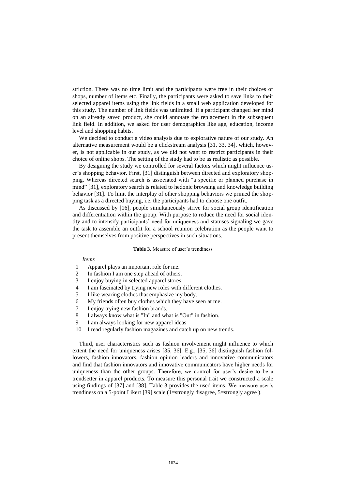striction. There was no time limit and the participants were free in their choices of shops, number of items etc. Finally, the participants were asked to save links to their selected apparel items using the link fields in a small web application developed for this study. The number of link fields was unlimited. If a participant changed her mind on an already saved product, she could annotate the replacement in the subsequent link field. In addition, we asked for user demographics like age, education, income level and shopping habits.

We decided to conduct a video analysis due to explorative nature of our study. An alternative measurement would be a clickstream analysis [31, 33, 34], which, however, is not applicable in our study, as we did not want to restrict participants in their choice of online shops. The setting of the study had to be as realistic as possible.

By designing the study we controlled for several factors which might influence user's shopping behavior. First, [31] distinguish between directed and exploratory shopping. Whereas directed search is associated with "a specific or planned purchase in mind" [31], exploratory search is related to hedonic browsing and knowledge building behavior [31]. To limit the interplay of other shopping behaviors we primed the shopping task as a directed buying, i.e. the participants had to choose one outfit.

As discussed by [16], people simultaneously strive for social group identification and differentiation within the group. With purpose to reduce the need for social identity and to intensify participants' need for uniqueness and statuses signaling we gave the task to assemble an outfit for a school reunion celebration as the people want to present themselves from positive perspectives in such situations.

| <b>Table 3.</b> Measure of user's trendiness |  |
|----------------------------------------------|--|
|----------------------------------------------|--|

<span id="page-7-0"></span>

|    | <i>Items</i>                                                   |
|----|----------------------------------------------------------------|
|    | Apparel plays an important role for me.                        |
|    | In fashion I am one step ahead of others.                      |
| 3  | I enjoy buying in selected apparel stores.                     |
| 4  | I am fascinated by trying new roles with different clothes.    |
| 5  | I like wearing clothes that emphasize my body.                 |
| 6  | My friends often buy clothes which they have seen at me.       |
|    | I enjoy trying new fashion brands.                             |
| 8  | I always know what is "In" and what is "Out" in fashion.       |
| 9  | I am always looking for new apparel ideas.                     |
| 10 | I read regularly fashion magazines and catch up on new trends. |
|    |                                                                |

Third, user characteristics such as fashion involvement might influence to which extent the need for uniqueness arises [35, 36]. E.g., [35, 36] distinguish fashion followers, fashion innovators, fashion opinion leaders and innovative communicators and find that fashion innovators and innovative communicators have higher needs for uniqueness than the other groups. Therefore, we control for user's desire to be a trendsetter in apparel products. To measure this personal trait we constructed a scale using findings of [37] and [38]. [Table 3](#page-7-0) provides the used items. We measure user's trendiness on a 5-point Likert [39] scale (1=strongly disagree, 5=strongly agree ).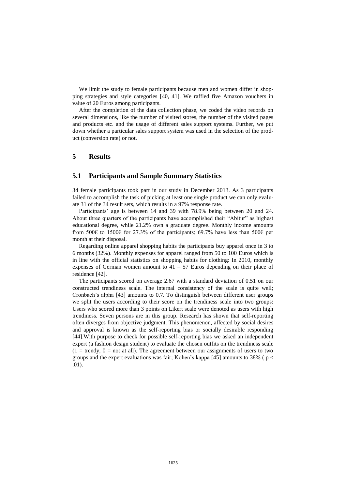We limit the study to female participants because men and women differ in shopping strategies and style categories [40, 41]. We raffled five Amazon vouchers in value of 20 Euros among participants.

After the completion of the data collection phase, we coded the video records on several dimensions, like the number of visited stores, the number of the visited pages and products etc. and the usage of different sales support systems. Further, we put down whether a particular sales support system was used in the selection of the product (conversion rate) or not.

# **5 Results**

## **5.1 Participants and Sample Summary Statistics**

34 female participants took part in our study in December 2013. As 3 participants failed to accomplish the task of picking at least one single product we can only evaluate 31 of the 34 result sets, which results in a 97% response rate.

Participants' age is between 14 and 39 with 78.9% being between 20 and 24. About three quarters of the participants have accomplished their "Abitur" as highest educational degree, while 21.2% own a graduate degree. Monthly income amounts from 500€ to 1500€ for 27.3% of the participants; 69.7% have less than 500€ per month at their disposal.

Regarding online apparel shopping habits the participants buy apparel once in 3 to 6 months (32%). Monthly expenses for apparel ranged from 50 to 100 Euros which is in line with the official statistics on shopping habits for clothing: In 2010, monthly expenses of German women amount to  $41 - 57$  Euros depending on their place of residence [42].

The participants scored on average 2.67 with a standard deviation of 0.51 on our constructed trendiness scale. The internal consistency of the scale is quite well; Cronbach's alpha [43] amounts to 0.7. To distinguish between different user groups we split the users according to their score on the trendiness scale into two groups: Users who scored more than 3 points on Likert scale were denoted as users with high trendiness. Seven persons are in this group. Research has shown that self-reporting often diverges from objective judgment. This phenomenon, affected by social desires and approval is known as the self-reporting bias or socially desirable responding [44].With purpose to check for possible self-reporting bias we asked an independent expert (a fashion design student) to evaluate the chosen outfits on the trendiness scale  $(1 = \text{trendy}, 0 = \text{not at all})$ . The agreement between our assignments of users to two groups and the expert evaluations was fair; Kohen's kappa [45] amounts to 38% ( $p <$ .01).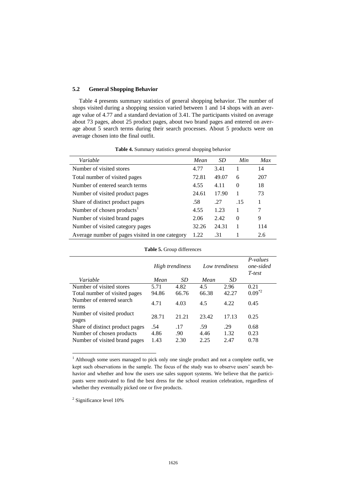#### **5.2 General Shopping Behavior**

[Table 4](#page-9-0) presents summary statistics of general shopping behavior. The number of shops visited during a shopping session varied between 1 and 14 shops with an average value of 4.77 and a standard deviation of 3.41. The participants visited on average about 73 pages, about 25 product pages, about two brand pages and entered on average about 5 search terms during their search processes. About 5 products were on average chosen into the final outfit.

<span id="page-9-0"></span>

| Variable                                        | Mean  | SD.   | Min      | Max |
|-------------------------------------------------|-------|-------|----------|-----|
| Number of visited stores                        | 4.77  | 3.41  |          | 14  |
| Total number of visited pages                   | 72.81 | 49.07 | 6        | 207 |
| Number of entered search terms                  | 4.55  | 4.11  | $\Omega$ | 18  |
| Number of visited product pages                 | 24.61 | 17.90 |          | 73  |
| Share of distinct product pages                 | .58   | .27   | .15      |     |
| Number of chosen products <sup>1</sup>          | 4.55  | 1.23  | 1        | 7   |
| Number of visited brand pages                   | 2.06  | 2.42  | $\Omega$ | 9   |
| Number of visited category pages                | 32.26 | 24.31 |          | 114 |
| Average number of pages visited in one category | 1.22  | .31   |          | 2.6 |

**Table 4.** Summary statistics general shopping behavior

|  |  | Table 5. Group differences |
|--|--|----------------------------|
|--|--|----------------------------|

<span id="page-9-1"></span>

|                                    | High trendiness |           |       | Low trendiness | P-values<br>one-sided<br>T-test |
|------------------------------------|-----------------|-----------|-------|----------------|---------------------------------|
| Variable                           | Mean            | <i>SD</i> | Mean  | SD             |                                 |
| Number of visited stores           | 5.71            | 4.82      | 4.5   | 2.96           | 0.21                            |
| Total number of visited pages      | 94.86           | 66.76     | 66.38 | 42.27          | $0.09^{*2}$                     |
| Number of entered search<br>terms  | 4.71            | 4.03      | 4.5   | 4.22           | 0.45                            |
| Number of visited product<br>pages | 28.71           | 21.21     | 23.42 | 17.13          | 0.25                            |
| Share of distinct product pages    | .54             | .17       | .59   | .29            | 0.68                            |
| Number of chosen products          | 4.86            | .90       | 4.46  | 1.32           | 0.23                            |
| Number of visited brand pages      | 1.43            | 2.30      | 2.25  | 2.47           | 0.78                            |

<sup>1</sup> Although some users managed to pick only one single product and not a complete outfit, we kept such observations in the sample. The focus of the study was to observe users' search behavior and whether and how the users use sales support systems. We believe that the participants were motivated to find the best dress for the school reunion celebration, regardless of whether they eventually picked one or five products.

<sup>2</sup> Significance level 10%

l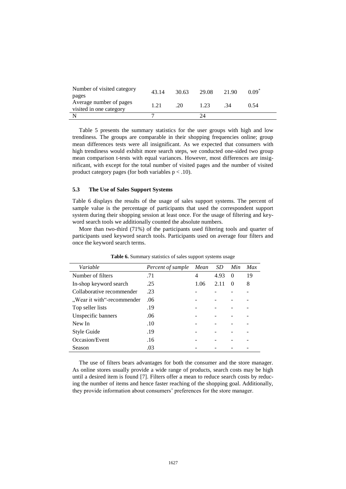| Number of visited category                         | 43.14 | 30.63 | 29.08 | 21.90 | $0.09^{1}$ |
|----------------------------------------------------|-------|-------|-------|-------|------------|
| pages                                              |       |       |       |       |            |
| Average number of pages<br>visited in one category | 1.21  | 20    | 1.23  | .34   | 0.54       |
|                                                    |       |       |       |       |            |

[Table 5](#page-9-1) presents the summary statistics for the user groups with high and low trendiness. The groups are comparable in their shopping frequencies online; group mean differences tests were all insignificant. As we expected that consumers with high trendiness would exhibit more search steps, we conducted one-sided two group mean comparison t-tests with equal variances. However, most differences are insignificant, with except for the total number of visited pages and the number of visited product category pages (for both variables  $p < .10$ ).

### **5.3 The Use of Sales Support Systems**

[Table 6](#page-10-0) displays the results of the usage of sales support systems. The percent of sample value is the percentage of participants that used the correspondent support system during their shopping session at least once. For the usage of filtering and keyword search tools we additionally counted the absolute numbers.

More than two-third (71%) of the participants used filtering tools and quarter of participants used keyword search tools. Participants used on average four filters and once the keyword search terms.

<span id="page-10-0"></span>

| Variable                   | Percent of sample | Mean | <i>SD</i> | Min      | Max |
|----------------------------|-------------------|------|-----------|----------|-----|
| Number of filters          | .71               | 4    | 4.93      | $\theta$ | 19  |
| In-shop keyword search     | .25               | 1.06 | 2.11      | $\theta$ | 8   |
| Collaborative recommender  | .23               |      |           |          |     |
| "Wear it with"-recommender | .06               |      |           |          |     |
| Top seller lists           | .19               |      |           |          |     |
| Unspecific banners         | .06               |      |           |          |     |
| New In                     | .10               |      |           |          |     |
| Style Guide                | .19               |      |           |          |     |
| Occasion/Event             | .16               |      |           |          |     |
| Season                     | .03               |      |           |          |     |

**Table 6.** Summary statistics of sales support systems usage

The use of filters bears advantages for both the consumer and the store manager. As online stores usually provide a wide range of products, search costs may be high until a desired item is found [7]. Filters offer a mean to reduce search costs by reducing the number of items and hence faster reaching of the shopping goal. Additionally, they provide information about consumers' preferences for the store manager.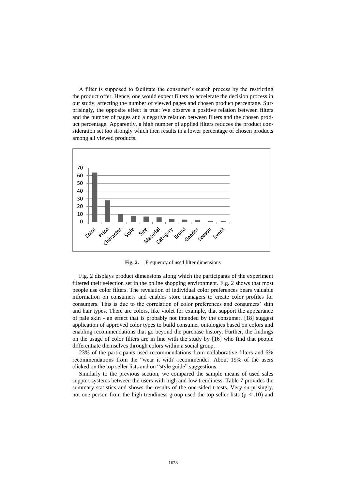A filter is supposed to facilitate the consumer's search process by the restricting the product offer. Hence, one would expect filters to accelerate the decision process in our study, affecting the number of viewed pages and chosen product percentage. Surprisingly, the opposite effect is true: We observe a positive relation between filters and the number of pages and a negative relation between filters and the chosen product percentage. Apparently, a high number of applied filters reduces the product consideration set too strongly which then results in a lower percentage of chosen products among all viewed products.



**Fig. 2.** Frequency of used filter dimensions

<span id="page-11-0"></span>[Fig. 2](#page-11-0) displays product dimensions along which the participants of the experiment filtered their selection set in the online shopping environment. [Fig. 2](#page-11-0) shows that most people use color filters. The revelation of individual color preferences bears valuable information on consumers and enables store managers to create color profiles for consumers. This is due to the correlation of color preferences and consumers' skin and hair types. There are colors, like violet for example, that support the appearance of pale skin - an effect that is probably not intended by the consumer. [18] suggest application of approved color types to build consumer ontologies based on colors and enabling recommendations that go beyond the purchase history. Further, the findings on the usage of color filters are in line with the study by [16] who find that people differentiate themselves through colors within a social group.

23% of the participants used recommendations from collaborative filters and 6% recommendations from the "wear it with"-recommender. About 19% of the users clicked on the top seller lists and on "style guide" suggestions.

Similarly to the previous section, we compared the sample means of used sales support systems between the users with high and low trendiness. [Table 7](#page-12-0) provides the summary statistics and shows the results of the one-sided t-tests. Very surprisingly, not one person from the high trendiness group used the top seller lists ( $p < .10$ ) and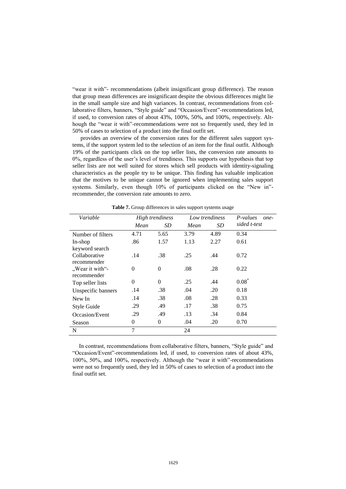"wear it with"- recommendations (albeit insignificant group difference). The reason that group mean differences are insignificant despite the obvious differences might lie in the small sample size and high variances. [In contrast, recommendations from col](#page-12-1)[laborative filters, banners, "Style guide" and "Occasion/Event"-recommendations led,](#page-12-1)  [if used, to conversion rates of about 43%, 100%, 50%, and 100%, respectively. Alt](#page-12-1)[hough the "wear it with"-recommendations were not so frequently used, they led in](#page-12-1)  [50% of cases to selection of a product into the final outfit set.](#page-12-1)

provides an overview of the conversion rates for the different sales support systems, if the support system led to the selection of an item for the final outfit. Although 19% of the participants click on the top seller lists, the conversion rate amounts to 0%, regardless of the user's level of trendiness. This supports our hypothesis that top seller lists are not well suited for stores which sell products with identity-signaling characteristics as the people try to be unique. This finding has valuable implication that the motives to be unique cannot be ignored when implementing sales support systems. Similarly, even though 10% of participants clicked on the "New in" recommender, the conversion rate amounts to zero.

<span id="page-12-0"></span>

| Variable                                       |                | Low trendiness<br><b>High trendiness</b> |      |      | P-values<br>one- |
|------------------------------------------------|----------------|------------------------------------------|------|------|------------------|
|                                                | Mean           | SD                                       | Mean | SD   | sided t-test     |
| Number of filters                              | 4.71           | 5.65                                     | 3.79 | 4.89 | 0.34             |
| In-shop                                        | .86            | 1.57                                     | 1.13 | 2.27 | 0.61             |
| keyword search<br>Collaborative<br>recommender | .14            | .38                                      | .25  | .44  | 0.72             |
| "Wear it with"-<br>recommender                 | 0              | $\theta$                                 | .08  | .28  | 0.22             |
| Top seller lists                               | $\theta$       | $\overline{0}$                           | .25  | .44  | $0.08*$          |
| Unspecific banners                             | .14            | .38                                      | .04  | .20  | 0.18             |
| New In                                         | .14            | .38                                      | .08  | .28  | 0.33             |
| Style Guide                                    | .29            | .49                                      | .17  | .38  | 0.75             |
| Occasion/Event                                 | .29            | .49                                      | .13  | .34  | 0.84             |
| Season                                         | 0              | $\overline{0}$                           | .04  | .20  | 0.70             |
| N                                              | $\overline{7}$ |                                          | 24   |      |                  |

**Table 7.** Group differences in sales support systems usage

<span id="page-12-1"></span>In contrast, recommendations from collaborative filters, banners, "Style guide" and "Occasion/Event"-recommendations led, if used, to conversion rates of about 43%, 100%, 50%, and 100%, respectively. Although the "wear it with"-recommendations were not so frequently used, they led in 50% of cases to selection of a product into the final outfit set.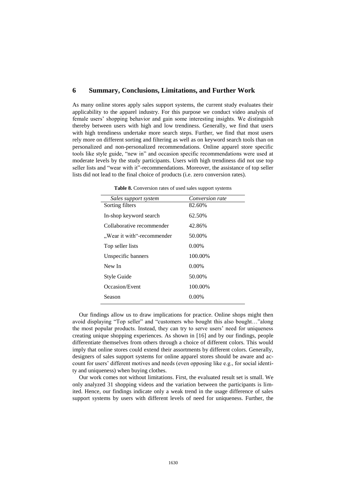## **6 Summary, Conclusions, Limitations, and Further Work**

As many online stores apply sales support systems, the current study evaluates their applicability to the apparel industry. For this purpose we conduct video analysis of female users' shopping behavior and gain some interesting insights. We distinguish thereby between users with high and low trendiness. Generally, we find that users with high trendiness undertake more search steps. Further, we find that most users rely more on different sorting and filtering as well as on keyword search tools than on personalized and non-personalized recommendations. Online apparel store specific tools like style guide, "new in" and occasion specific recommendations were used at moderate levels by the study participants. Users with high trendiness did not use top seller lists and "wear with it"-recommendations. Moreover, the assistance of top seller lists did not lead to the final choice of products (i.e. zero conversion rates).

| Sales support system       | Conversion rate |
|----------------------------|-----------------|
| Sorting filters            | 82.60%          |
| In-shop keyword search     | 62.50%          |
| Collaborative recommender  | 42.86%          |
| "Wear it with"-recommender | 50.00%          |
| Top seller lists           | $0.00\%$        |
| Unspecific banners         | 100.00%         |
| New In                     | $0.00\%$        |
| Style Guide                | 50.00%          |
| Occasion/Event             | 100.00%         |
| Season                     | 0.00%           |

**Table 8.** Conversion rates of used sales support systems

Our findings allow us to draw implications for practice. Online shops might then avoid displaying "Top seller" and "customers who bought this also bought…"along the most popular products. Instead, they can try to serve users' need for uniqueness creating unique shopping experiences. As shown in [16] and by our findings, people differentiate themselves from others through a choice of different colors. This would imply that online stores could extend their assortments by different colors. Generally, designers of sales support systems for online apparel stores should be aware and account for users' different motives and needs (even opposing like e.g., for social identity and uniqueness) when buying clothes.

Our work comes not without limitations. First, the evaluated result set is small. We only analyzed 31 shopping videos and the variation between the participants is limited. Hence, our findings indicate only a weak trend in the usage difference of sales support systems by users with different levels of need for uniqueness. Further, the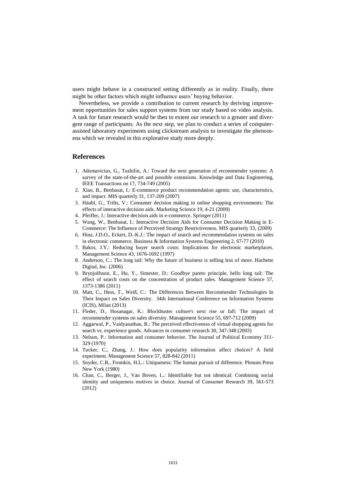users might behave in a constructed setting differently as in reality. Finally, there might be other factors which might influence users' buying behavior.

Nevertheless, we provide a contribution to current research by deriving improvement opportunities for sales support systems from our study based on video analysis. A task for future research would be then to extent our research to a greater and divergent range of participants. As the next step, we plan to conduct a series of computerassisted laboratory experiments using clickstream analysis to investigate the phenomena which we revealed in this explorative study more deeply.

# **References**

- 1. Adomavicius, G., Tuzhilin, A.: Toward the next generation of recommender systems: A survey of the state-of-the-art and possible extensions. Knowledge and Data Engineering, IEEE Transactions on 17, 734-749 (2005)
- 2. Xiao, B., Benbasat, I.: E-commerce product recommendation agents: use, characteristics, and impact. MIS quarterly 31, 137-209 (2007)
- 3. Häubl, G., Trifts, V.: Consumer decision making in online shopping environments: The effects of interactive decision aids. Marketing Science 19, 4-21 (2000)
- 4. Pfeiffer, J.: Interactive decision aids in e-commerce. Springer (2011)
- 5. Wang, W., Benbasat, I.: Interactive Decision Aids for Consumer Decision Making in E-Commerce: The Influence of Perceived Strategy Restrictiveness. MIS quarterly 33, (2009)
- 6. Hinz, J.D.O., Eckert, D.-K.J.: The impact of search and recommendation systems on sales in electronic commerce. Business & Information Systems Engineering 2, 67-77 (2010)
- 7. Bakos, J.Y.: Reducing buyer search costs: Implications for electronic marketplaces. Management Science 43, 1676-1692 (1997)
- 8. Anderson, C.: The long tail: Why the future of business is selling less of more. Hachette Digital, Inc. (2006)
- 9. Brynjolfsson, E., Hu, Y., Simester, D.: Goodbye pareto principle, hello long tail: The effect of search costs on the concentration of product sales. Management Science 57, 1373-1386 (2011)
- 10. Matt, C., Hess, T., Weiß, C.: The Differences Between Recommender Technologies In Their Impact on Sales Diversity. 34th International Conference on Information Systems (ICIS), Milan (2013)
- 11. Fleder, D., Hosanagar, K.: Blockbuster culture's next rise or fall: The impact of recommender systems on sales diversity. Management Science 55, 697-712 (2009)
- 12. Aggarwal, P., Vaidyanathan, R.: The perceived effectiveness of virtual shopping agents for search vs. experience goods. Advances in consumer research 30, 347-348 (2003)
- 13. Nelson, P.: Information and consumer behavior. The Journal of Political Economy 311- 329 (1970)
- 14. Tucker, C., Zhang, J.: How does popularity information affect choices? A field experiment. Management Science 57, 828-842 (2011)
- 15. Snyder, C.R., Fromkin, H.L.: Uniqueness: The human pursuit of difference. Plenum Press New York (1980)
- 16. Chan, C., Berger, J., Van Boven, L.: Identifiable but not identical: Combining social identity and uniqueness motives in choice. Journal of Consumer Research 39, 561-573 (2012)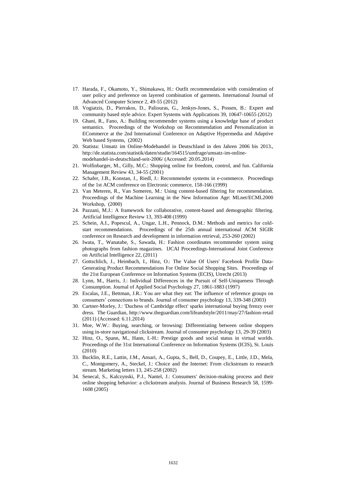- 17. Harada, F., Okamoto, Y., Shimakawa, H.: Outfit recommendation with consideration of user policy and preference on layered combination of garments. International Journal of Advanced Computer Science 2, 49-55 (2012)
- 18. Vogiatzis, D., Pierrakos, D., Paliouras, G., Jenkyn-Jones, S., Possen, B.: Expert and community based style advice. Expert Systems with Applications 39, 10647-10655 (2012)
- 19. Ghani, R., Fano, A.: Building recommender systems using a knowledge base of product semantics. Proceedings of the Workshop on Recommendation and Personalization in ECommerce at the 2nd International Conference on Adaptive Hypermedia and Adaptive Web based Systems, (2002)
- 20. Statista: Umsatz im Online-Modehandel in Deutschland in den Jahren 2006 bis 2013., [http://de.statista.com/statistik/daten/studie/164515/umfrage/umsatz-im-online](http://de.statista.com/statistik/daten/studie/164515/umfrage/umsatz-im-online-modehandel-in-deutschland-seit-2006/)[modehandel-in-deutschland-seit-2006/](http://de.statista.com/statistik/daten/studie/164515/umfrage/umsatz-im-online-modehandel-in-deutschland-seit-2006/) (Accessed: 20.05.2014)
- 21. Wolfinbarger, M., Gilly, M.C.: Shopping online for freedom, control, and fun. California Management Review 43, 34-55 (2001)
- 22. Schafer, J.B., Konstan, J., Riedl, J.: Recommender systems in e-commerce. Proceedings of the 1st ACM conference on Electronic commerce, 158-166 (1999)
- 23. Van Meteren, R., Van Someren, M.: Using content-based filtering for recommendation. Proceedings of the Machine Learning in the New Information Age: MLnet/ECML2000 Workshop, (2000)
- 24. Pazzani, M.J.: A framework for collaborative, content-based and demographic filtering. Artificial Intelligence Review 13, 393-408 (1999)
- 25. Schein, A.I., Popescul, A., Ungar, L.H., Pennock, D.M.: Methods and metrics for coldstart recommendations. Proceedings of the 25th annual international ACM SIGIR conference on Research and development in information retrieval, 253-260 (2002)
- 26. Iwata, T., Wanatabe, S., Sawada, H.: Fashion coordinates recommender system using photographs from fashion magazines. IJCAI Proceedings-International Joint Conference on Artificial Intelligence 22, (2011)
- 27. Gottschlich, J., Heimbach, I., Hinz, O.: The Value Of Users' Facebook Profile Data-Generating Product Recommendations For Online Social Shopping Sites. Proceedings of the 21st European Conference on Information Systems (ECIS), Utrecht (2013)
- 28. Lynn, M., Harris, J.: Individual Differences in the Pursuit of Self‐Uniqueness Through Consumption. Journal of Applied Social Psychology 27, 1861-1883 (1997)
- 29. Escalas, J.E., Bettman, J.R.: You are what they eat: The influence of reference groups on consumers' connections to brands. Journal of consumer psychology 13, 339-348 (2003)
- 30. Cartner-Morley, J.: 'Duchess of Cambridge effect' sparks international buying frenzy over dress. The Guardian, http://www.theguardian.com/lifeandstyle/2011/may/27/fashion-retail (2011) (Accessed: 6.11.2014)
- 31. Moe, W.W.: Buying, searching, or browsing: Differentiating between online shoppers using in-store navigational clickstream. Journal of consumer psychology 13, 29-39 (2003)
- 32. Hinz, O., Spann, M., Hann, I.-H.: Prestige goods and social status in virtual worlds. Proceedings of the 31st International Conference on Information Systems (ICIS), St. Louis (2010)
- 33. Bucklin, R.E., Lattin, J.M., Ansari, A., Gupta, S., Bell, D., Coupey, E., Little, J.D., Mela, C., Montgomery, A., Steckel, J.: Choice and the Internet: From clickstream to research stream. Marketing letters 13, 245-258 (2002)
- 34. Senecal, S., Kalczynski, P.J., Nantel, J.: Consumers' decision-making process and their online shopping behavior: a clickstream analysis. Journal of Business Research 58, 1599- 1608 (2005)